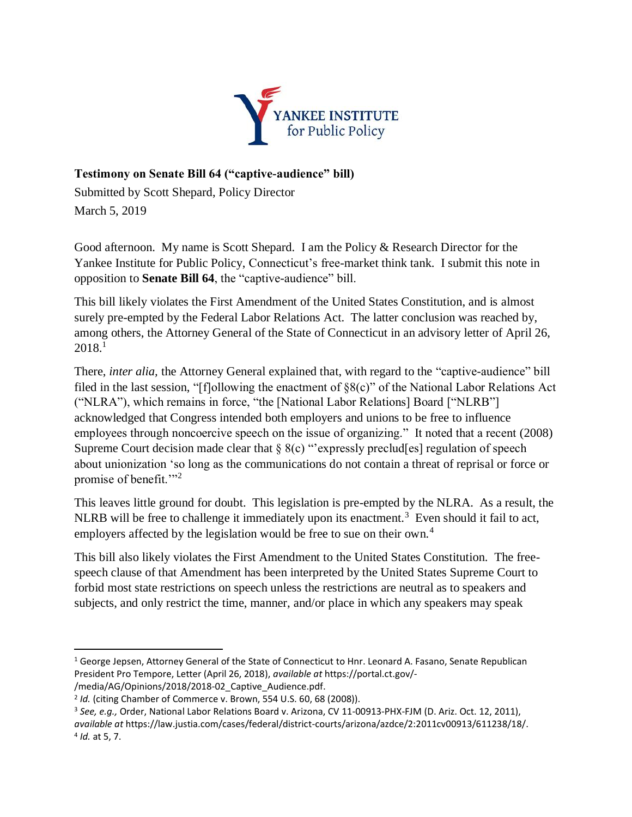

## **Testimony on Senate Bill 64 ("captive-audience" bill)**

Submitted by Scott Shepard, Policy Director March 5, 2019

Good afternoon. My name is Scott Shepard. I am the Policy & Research Director for the Yankee Institute for Public Policy, Connecticut's free-market think tank. I submit this note in opposition to **Senate Bill 64**, the "captive-audience" bill.

This bill likely violates the First Amendment of the United States Constitution, and is almost surely pre-empted by the Federal Labor Relations Act. The latter conclusion was reached by, among others, the Attorney General of the State of Connecticut in an advisory letter of April 26, 2018.<sup>1</sup>

There, *inter alia,* the Attorney General explained that, with regard to the "captive-audience" bill filed in the last session, "[f]ollowing the enactment of §8(c)" of the National Labor Relations Act ("NLRA"), which remains in force, "the [National Labor Relations] Board ["NLRB"] acknowledged that Congress intended both employers and unions to be free to influence employees through noncoercive speech on the issue of organizing." It noted that a recent (2008) Supreme Court decision made clear that  $\S$  8(c) "expressly preclud[es] regulation of speech about unionization 'so long as the communications do not contain a threat of reprisal or force or promise of benefit."<sup>2</sup>

This leaves little ground for doubt. This legislation is pre-empted by the NLRA. As a result, the NLRB will be free to challenge it immediately upon its enactment.<sup>3</sup> Even should it fail to act, employers affected by the legislation would be free to sue on their own.<sup>4</sup>

This bill also likely violates the First Amendment to the United States Constitution. The freespeech clause of that Amendment has been interpreted by the United States Supreme Court to forbid most state restrictions on speech unless the restrictions are neutral as to speakers and subjects, and only restrict the time, manner, and/or place in which any speakers may speak

 $\overline{\phantom{a}}$ 

<sup>&</sup>lt;sup>1</sup> George Jepsen, Attorney General of the State of Connecticut to Hnr. Leonard A. Fasano, Senate Republican President Pro Tempore, Letter (April 26, 2018), *available at* https://portal.ct.gov/- /media/AG/Opinions/2018/2018-02\_Captive\_Audience.pdf.

<sup>2</sup> *Id.* (citing Chamber of Commerce v. Brown, 554 U.S. 60, 68 (2008)).

<sup>3</sup> *See, e.g.,* Order, National Labor Relations Board v. Arizona, CV 11-00913-PHX-FJM (D. Ariz. Oct. 12, 2011),

*available at* https://law.justia.com/cases/federal/district-courts/arizona/azdce/2:2011cv00913/611238/18/. 4 *Id.* at 5, 7.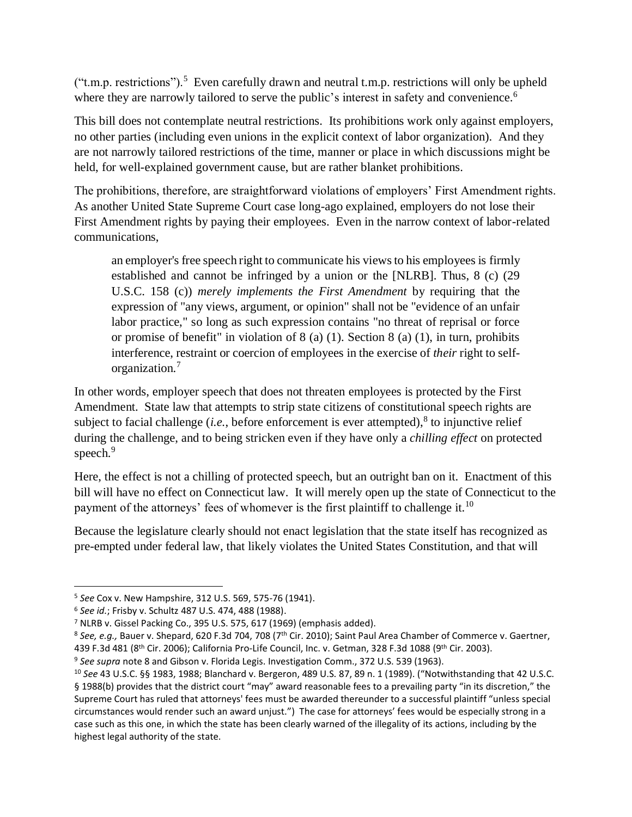$("t.m.p. restrictions").$ <sup>5</sup> Even carefully drawn and neutral t.m.p. restrictions will only be upheld where they are narrowly tailored to serve the public's interest in safety and convenience.<sup>6</sup>

This bill does not contemplate neutral restrictions. Its prohibitions work only against employers, no other parties (including even unions in the explicit context of labor organization). And they are not narrowly tailored restrictions of the time, manner or place in which discussions might be held, for well-explained government cause, but are rather blanket prohibitions.

The prohibitions, therefore, are straightforward violations of employers' First Amendment rights. As another United State Supreme Court case long-ago explained, employers do not lose their First Amendment rights by paying their employees. Even in the narrow context of labor-related communications,

an employer's free speech right to communicate his views to his employees is firmly established and cannot be infringed by a union or the [NLRB]. Thus, 8 (c) (29 U.S.C. 158 (c)) *merely implements the First Amendment* by requiring that the expression of "any views, argument, or opinion" shall not be "evidence of an unfair labor practice," so long as such expression contains "no threat of reprisal or force or promise of benefit" in violation of 8 (a) (1). Section 8 (a) (1), in turn, prohibits interference, restraint or coercion of employees in the exercise of *their* right to selforganization.<sup>7</sup>

In other words, employer speech that does not threaten employees is protected by the First Amendment. State law that attempts to strip state citizens of constitutional speech rights are subject to facial challenge  $(i.e.,$  before enforcement is ever attempted), $8$  to injunctive relief during the challenge, and to being stricken even if they have only a *chilling effect* on protected speech.<sup>9</sup>

Here, the effect is not a chilling of protected speech, but an outright ban on it. Enactment of this bill will have no effect on Connecticut law. It will merely open up the state of Connecticut to the payment of the attorneys' fees of whomever is the first plaintiff to challenge it.<sup>10</sup>

Because the legislature clearly should not enact legislation that the state itself has recognized as pre-empted under federal law, that likely violates the United States Constitution, and that will

 $\overline{a}$ 

<sup>5</sup> *See* Cox v. New Hampshire, 312 U.S. 569, 575-76 (1941).

<sup>6</sup> *See id.*; Frisby v. Schultz 487 U.S. 474, 488 (1988).

<sup>7</sup> NLRB v. Gissel Packing Co., 395 U.S. 575, 617 (1969) (emphasis added).

<sup>&</sup>lt;sup>8</sup> See, e.g., Bauer v. Shepard, 620 F.3d 704, 708 (7<sup>th</sup> Cir. 2010); Saint Paul Area Chamber of Commerce v. Gaertner, 439 F.3d 481 (8th Cir. 2006); California Pro-Life Council, Inc. v. Getman, 328 F.3d 1088 (9th Cir. 2003).

<sup>9</sup> *See supra* note 8 and Gibson v. Florida Legis. Investigation Comm., 372 U.S. 539 (1963).

<sup>10</sup> *See* 43 U.S.C. §§ 1983, 1988; Blanchard v. Bergeron, 489 U.S. 87, 89 n. 1 (1989). ("Notwithstanding that 42 U.S.C. § 1988(b) provides that the district court "may" award reasonable fees to a prevailing party "in its discretion," the Supreme Court has ruled that attorneys' fees must be awarded thereunder to a successful plaintiff "unless special circumstances would render such an award unjust.") The case for attorneys' fees would be especially strong in a case such as this one, in which the state has been clearly warned of the illegality of its actions, including by the highest legal authority of the state.